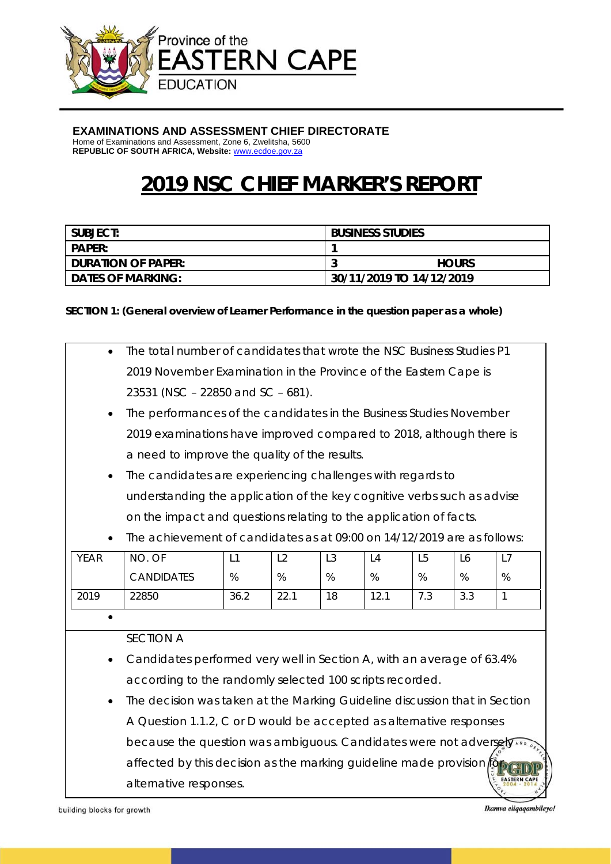

#### **EXAMINATIONS AND ASSESSMENT CHIEF DIRECTORATE**

Home of Examinations and Assessment, Zone 6, Zwelitsha, 5600 **REPUBLIC OF SOUTH AFRICA, Website:** www.ecdoe.gov.za

# **2019 NSC CHIEF MARKER'S REPORT**

| SUBJECT:                  | <b>BUSINESS STUDIES</b>  |
|---------------------------|--------------------------|
| <b>PAPER:</b>             |                          |
| <b>DURATION OF PAPER:</b> | <b>HOURS</b>             |
| <b>DATES OF MARKING:</b>  | 30/11/2019 TO 14/12/2019 |

#### **SECTION 1: (General overview of Learner Performance in the question paper as a whole)**

| $\bullet$   | The total number of candidates that wrote the NSC Business Studies P1                                                                                                                                                                                                                                                                             |      |                |                |      |                |     |              |  |
|-------------|---------------------------------------------------------------------------------------------------------------------------------------------------------------------------------------------------------------------------------------------------------------------------------------------------------------------------------------------------|------|----------------|----------------|------|----------------|-----|--------------|--|
|             | 2019 November Examination in the Province of the Eastern Cape is                                                                                                                                                                                                                                                                                  |      |                |                |      |                |     |              |  |
|             | 23531 (NSC - 22850 and SC - 681).                                                                                                                                                                                                                                                                                                                 |      |                |                |      |                |     |              |  |
| ٠           | The performances of the candidates in the Business Studies November<br>2019 examinations have improved compared to 2018, although there is<br>a need to improve the quality of the results.<br>The candidates are experiencing challenges with regards to<br>$\bullet$<br>understanding the application of the key cognitive verbs such as advise |      |                |                |      |                |     |              |  |
|             |                                                                                                                                                                                                                                                                                                                                                   |      |                |                |      |                |     |              |  |
|             |                                                                                                                                                                                                                                                                                                                                                   |      |                |                |      |                |     |              |  |
|             |                                                                                                                                                                                                                                                                                                                                                   |      |                |                |      |                |     |              |  |
|             |                                                                                                                                                                                                                                                                                                                                                   |      |                |                |      |                |     |              |  |
|             | on the impact and questions relating to the application of facts.                                                                                                                                                                                                                                                                                 |      |                |                |      |                |     |              |  |
|             | The achievement of candidates as at 09:00 on 14/12/2019 are as follows:                                                                                                                                                                                                                                                                           |      |                |                |      |                |     |              |  |
| <b>YEAR</b> | NO. OF                                                                                                                                                                                                                                                                                                                                            | L1   | L <sub>2</sub> | L <sub>3</sub> | L4   | L <sub>5</sub> | L6  | L7           |  |
|             | <b>CANDIDATES</b>                                                                                                                                                                                                                                                                                                                                 | %    | %              | %              | %    | %              | %   | %            |  |
| 2019        | 22850                                                                                                                                                                                                                                                                                                                                             | 36.2 | 22.1           | 18             | 12.1 | 7.3            | 3.3 | $\mathbf{1}$ |  |
|             |                                                                                                                                                                                                                                                                                                                                                   |      |                |                |      |                |     |              |  |
|             | <b>SECTION A</b>                                                                                                                                                                                                                                                                                                                                  |      |                |                |      |                |     |              |  |
| ٠           | Candidates performed very well in Section A, with an average of 63.4%                                                                                                                                                                                                                                                                             |      |                |                |      |                |     |              |  |
|             | according to the randomly selected 100 scripts recorded.                                                                                                                                                                                                                                                                                          |      |                |                |      |                |     |              |  |
| $\bullet$   | The decision was taken at the Marking Guideline discussion that in Section                                                                                                                                                                                                                                                                        |      |                |                |      |                |     |              |  |
|             | A Question 1.1.2, C or D would be accepted as alternative responses<br>because the question was ambiguous. Candidates were not adversely                                                                                                                                                                                                          |      |                |                |      |                |     |              |  |
|             |                                                                                                                                                                                                                                                                                                                                                   |      |                |                |      |                |     |              |  |
|             | affected by this decision as the marking guideline made provision for                                                                                                                                                                                                                                                                             |      |                |                |      |                |     |              |  |
|             |                                                                                                                                                                                                                                                                                                                                                   |      |                |                |      |                |     |              |  |

alternative responses.

building blocks for growth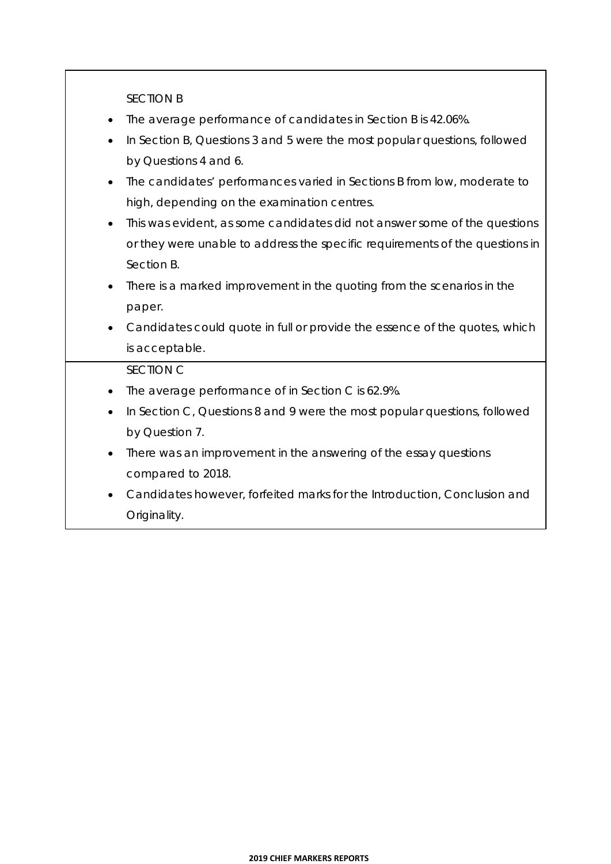SECTION B

- The average performance of candidates in Section B is 42.06%.
- In Section B, Questions 3 and 5 were the most popular questions, followed by Questions 4 and 6.
- The candidates' performances varied in Sections B from low, moderate to high, depending on the examination centres.
- This was evident, as some candidates did not answer some of the questions or they were unable to address the specific requirements of the questions in Section B.
- There is a marked improvement in the quoting from the scenarios in the paper.
- Candidates could quote in full or provide the essence of the quotes, which is acceptable.

#### SECTION C

- The average performance of in Section C is 62.9%.
- In Section C, Questions 8 and 9 were the most popular questions, followed by Question 7.
- There was an improvement in the answering of the essay questions compared to 2018.
- Candidates however, forfeited marks for the Introduction, Conclusion and Originality.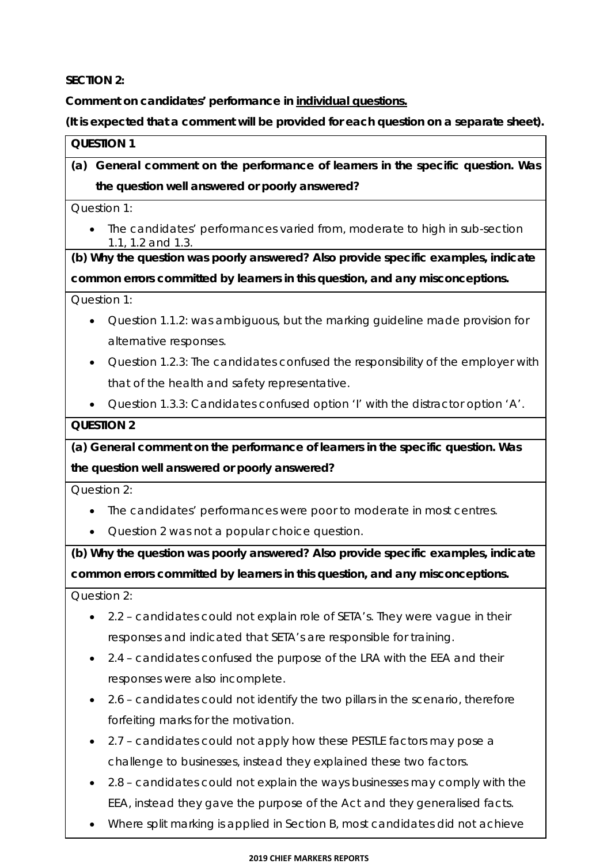**SECTION 2:** 

**Comment on candidates' performance in individual questions.** 

**(It is expected that a comment will be provided for each question on a separate sheet).** 

## **QUESTION 1**

## **(a) General comment on the performance of learners in the specific question. Was the question well answered or poorly answered?**

Question 1:

• The candidates' performances varied from, moderate to high in sub-section 1.1, 1.2 and 1.3.

**(b) Why the question was poorly answered? Also provide specific examples, indicate common errors committed by learners in this question, and any misconceptions.**

Question 1:

- Question 1.1.2: was ambiguous, but the marking guideline made provision for alternative responses.
- Question 1.2.3: The candidates confused the responsibility of the employer with that of the health and safety representative.

Question 1.3.3: Candidates confused option 'I' with the distractor option 'A'.

#### **QUESTION 2**

**(a) General comment on the performance of learners in the specific question. Was the question well answered or poorly answered?** 

Question 2:

- The candidates' performances were poor to moderate in most centres.
- Question 2 was not a popular choice question.

**(b) Why the question was poorly answered? Also provide specific examples, indicate common errors committed by learners in this question, and any misconceptions.**

Question 2:

- 2.2 candidates could not explain role of SETA's. They were vague in their responses and indicated that SETA's are responsible for training.
- 2.4 candidates confused the purpose of the LRA with the EEA and their responses were also incomplete.
- 2.6 candidates could not identify the two pillars in the scenario, therefore forfeiting marks for the motivation.
- 2.7 candidates could not apply how these PESTLE factors may pose a challenge to businesses, instead they explained these two factors.
- 2.8 candidates could not explain the ways businesses may comply with the EEA, instead they gave the purpose of the Act and they generalised facts.
- Where split marking is applied in Section B, most candidates did not achieve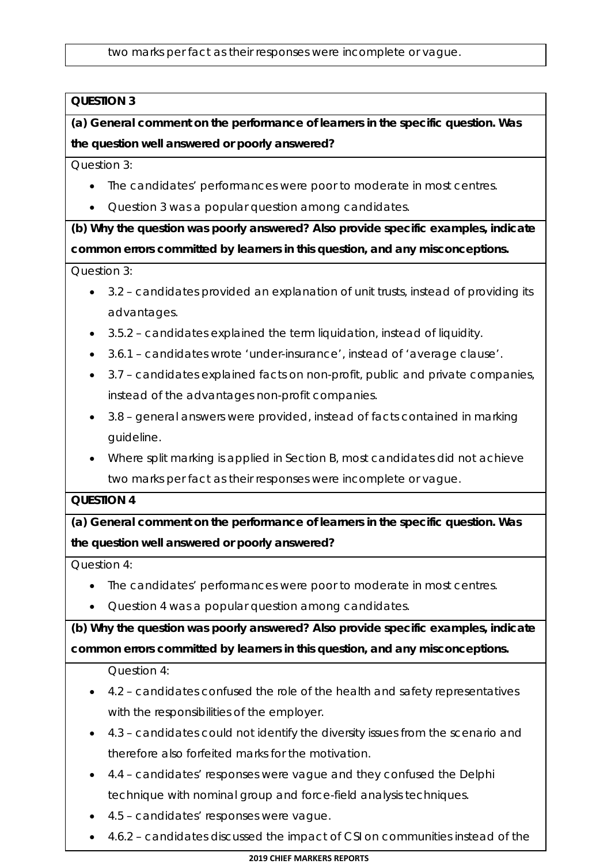two marks per fact as their responses were incomplete or vague.

## **QUESTION 3**

**(a) General comment on the performance of learners in the specific question. Was the question well answered or poorly answered?**

Question 3:

- The candidates' performances were poor to moderate in most centres.
- Question 3 was a popular question among candidates.

**(b) Why the question was poorly answered? Also provide specific examples, indicate common errors committed by learners in this question, and any misconceptions.**

Question 3:

- 3.2 candidates provided an explanation of unit trusts, instead of providing its advantages.
- 3.5.2 candidates explained the term liquidation, instead of liquidity.
- 3.6.1 candidates wrote 'under-insurance', instead of 'average clause'.
- 3.7 candidates explained facts on non-profit, public and private companies, instead of the advantages non-profit companies.
- 3.8 general answers were provided, instead of facts contained in marking guideline.
- Where split marking is applied in Section B, most candidates did not achieve two marks per fact as their responses were incomplete or vague.

#### **QUESTION 4**

**(a) General comment on the performance of learners in the specific question. Was the question well answered or poorly answered?**

Question 4:

- The candidates' performances were poor to moderate in most centres.
- Question 4 was a popular question among candidates.

**(b) Why the question was poorly answered? Also provide specific examples, indicate common errors committed by learners in this question, and any misconceptions.**

Question 4:

- 4.2 candidates confused the role of the health and safety representatives with the responsibilities of the employer.
- 4.3 candidates could not identify the diversity issues from the scenario and therefore also forfeited marks for the motivation.
- 4.4 candidates' responses were vague and they confused the Delphi technique with nominal group and force-field analysis techniques.
- 4.5 candidates' responses were vague.
- 4.6.2 candidates discussed the impact of CSI on communities instead of the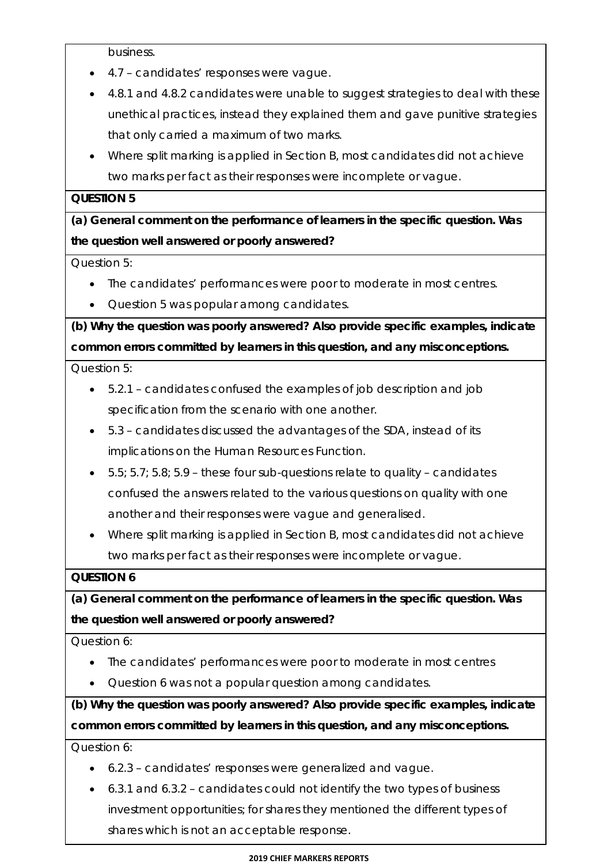business.

- 4.7 candidates' responses were vague.
- 4.8.1 and 4.8.2 candidates were unable to suggest strategies to deal with these unethical practices, instead they explained them and gave punitive strategies that only carried a maximum of two marks.
- Where split marking is applied in Section B, most candidates did not achieve two marks per fact as their responses were incomplete or vague.

#### **QUESTION 5**

**(a) General comment on the performance of learners in the specific question. Was the question well answered or poorly answered?**

Question 5:

- The candidates' performances were poor to moderate in most centres.
- Question 5 was popular among candidates.

**(b) Why the question was poorly answered? Also provide specific examples, indicate common errors committed by learners in this question, and any misconceptions.**

Question 5:

- 5.2.1 candidates confused the examples of job description and job specification from the scenario with one another.
- 5.3 candidates discussed the advantages of the SDA, instead of its implications on the Human Resources Function.
- $\bullet$  5.5; 5.7; 5.8; 5.9 these four sub-questions relate to quality candidates confused the answers related to the various questions on quality with one another and their responses were vague and generalised.
- Where split marking is applied in Section B, most candidates did not achieve two marks per fact as their responses were incomplete or vague.

#### **QUESTION 6**

**(a) General comment on the performance of learners in the specific question. Was the question well answered or poorly answered?**

Question 6:

- The candidates' performances were poor to moderate in most centres
- Question 6 was not a popular question among candidates.

**(b) Why the question was poorly answered? Also provide specific examples, indicate common errors committed by learners in this question, and any misconceptions.** 

Question 6:

- 6.2.3 candidates' responses were generalized and vague.
- 6.3.1 and 6.3.2 candidates could not identify the two types of business investment opportunities; for shares they mentioned the different types of shares which is not an acceptable response.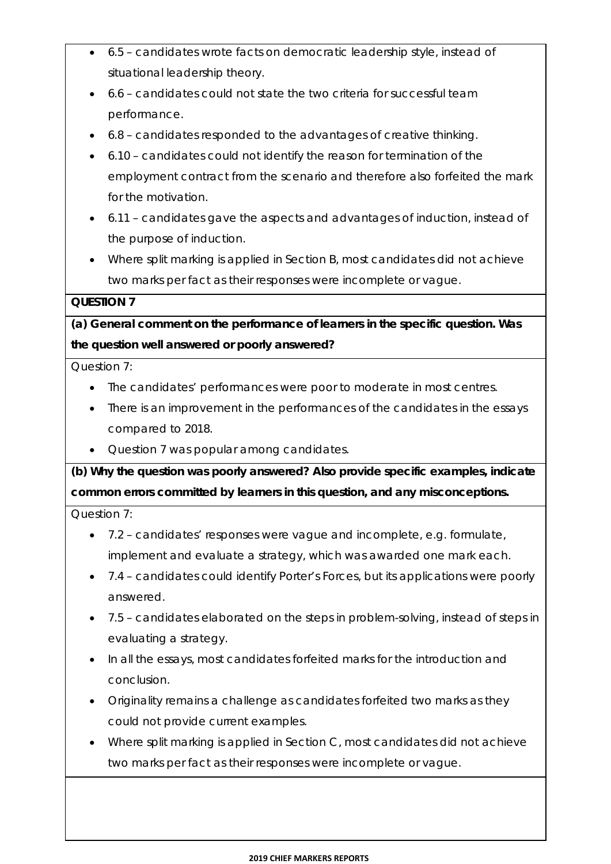- 6.5 candidates wrote facts on democratic leadership style, instead of situational leadership theory.
- 6.6 candidates could not state the two criteria for successful team performance.
- 6.8 candidates responded to the advantages of creative thinking.
- 6.10 candidates could not identify the reason for termination of the employment contract from the scenario and therefore also forfeited the mark for the motivation.
- 6.11 candidates gave the aspects and advantages of induction, instead of the purpose of induction.
- Where split marking is applied in Section B, most candidates did not achieve two marks per fact as their responses were incomplete or vague.

## **QUESTION 7**

**(a) General comment on the performance of learners in the specific question. Was the question well answered or poorly answered?**

Question 7:

- The candidates' performances were poor to moderate in most centres.
- There is an improvement in the performances of the candidates in the essays compared to 2018.
- Question 7 was popular among candidates.

**(b) Why the question was poorly answered? Also provide specific examples, indicate common errors committed by learners in this question, and any misconceptions.**

Question 7:

- 7.2 candidates' responses were vague and incomplete, e.g. formulate, implement and evaluate a strategy, which was awarded one mark each.
- 7.4 candidates could identify Porter's Forces, but its applications were poorly answered.
- 7.5 candidates elaborated on the steps in problem-solving, instead of steps in evaluating a strategy.
- In all the essays, most candidates forfeited marks for the introduction and conclusion.
- Originality remains a challenge as candidates forfeited two marks as they could not provide current examples.
- Where split marking is applied in Section C, most candidates did not achieve two marks per fact as their responses were incomplete or vague.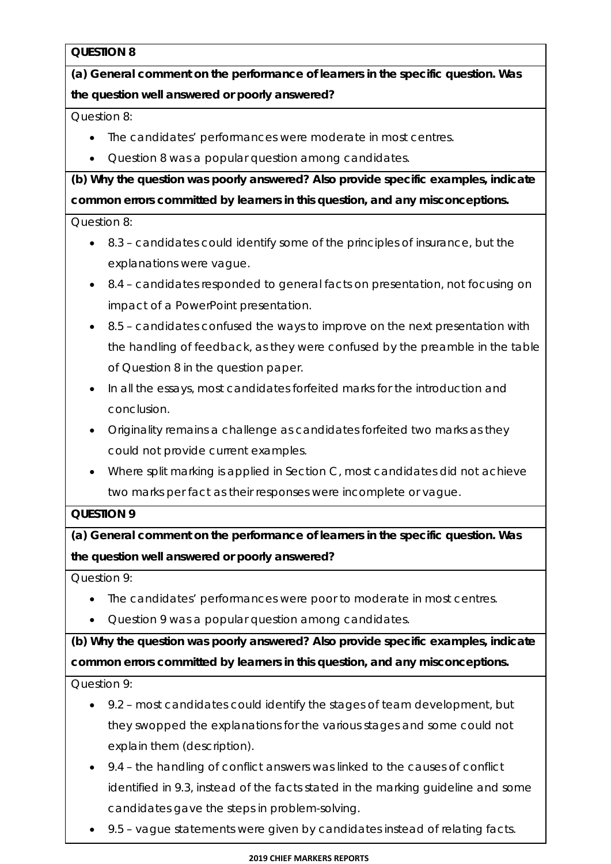## **QUESTION 8**

**(a) General comment on the performance of learners in the specific question. Was the question well answered or poorly answered?**

Question 8:

- The candidates' performances were moderate in most centres.
- Question 8 was a popular question among candidates.

**(b) Why the question was poorly answered? Also provide specific examples, indicate common errors committed by learners in this question, and any misconceptions.**

Question 8:

- 8.3 candidates could identify some of the principles of insurance, but the explanations were vague.
- 8.4 candidates responded to general facts on presentation, not focusing on impact of a PowerPoint presentation.
- 8.5 candidates confused the ways to improve on the next presentation with the handling of feedback, as they were confused by the preamble in the table of Question 8 in the question paper.
- In all the essays, most candidates forfeited marks for the introduction and conclusion.
- Originality remains a challenge as candidates forfeited two marks as they could not provide current examples.
- Where split marking is applied in Section C, most candidates did not achieve two marks per fact as their responses were incomplete or vague.

## **QUESTION 9**

**(a) General comment on the performance of learners in the specific question. Was the question well answered or poorly answered?**

Question 9:

- The candidates' performances were poor to moderate in most centres.
- Question 9 was a popular question among candidates.

**(b) Why the question was poorly answered? Also provide specific examples, indicate common errors committed by learners in this question, and any misconceptions.**

Question 9:

- 9.2 most candidates could identify the stages of team development, but they swopped the explanations for the various stages and some could not explain them (description).
- 9.4 the handling of conflict answers was linked to the causes of conflict identified in 9.3, instead of the facts stated in the marking guideline and some candidates gave the steps in problem-solving.
- 9.5 vague statements were given by candidates instead of relating facts.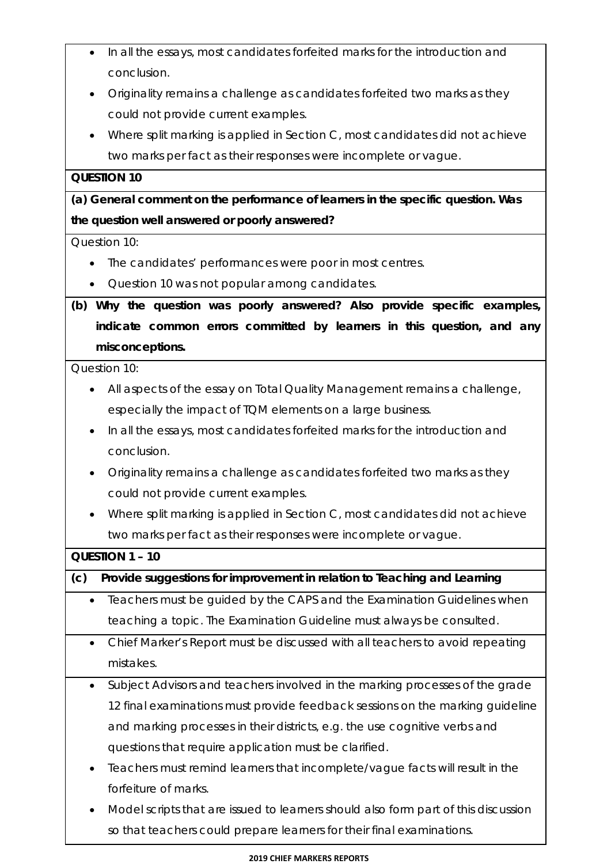- In all the essays, most candidates forfeited marks for the introduction and conclusion.
- Originality remains a challenge as candidates forfeited two marks as they could not provide current examples.
- Where split marking is applied in Section C, most candidates did not achieve two marks per fact as their responses were incomplete or vague.

## **QUESTION 10**

**(a) General comment on the performance of learners in the specific question. Was the question well answered or poorly answered?**

#### Question 10:

- The candidates' performances were poor in most centres.
- Cuestion 10 was not popular among candidates.

**(b) Why the question was poorly answered? Also provide specific examples, indicate common errors committed by learners in this question, and any misconceptions.** 

Question 10:

- All aspects of the essay on Total Quality Management remains a challenge, especially the impact of TQM elements on a large business.
- In all the essays, most candidates forfeited marks for the introduction and conclusion.
- Originality remains a challenge as candidates forfeited two marks as they could not provide current examples.
- Where split marking is applied in Section C, most candidates did not achieve two marks per fact as their responses were incomplete or vague.

| QUESTION 1 - 10 |                                                                               |  |  |  |
|-----------------|-------------------------------------------------------------------------------|--|--|--|
| (c)             | Provide suggestions for improvement in relation to Teaching and Learning      |  |  |  |
| $\bullet$       | Teachers must be guided by the CAPS and the Examination Guidelines when       |  |  |  |
|                 | teaching a topic. The Examination Guideline must always be consulted.         |  |  |  |
| $\bullet$       | Chief Marker's Report must be discussed with all teachers to avoid repeating  |  |  |  |
|                 | mistakes.                                                                     |  |  |  |
| $\bullet$       | Subject Advisors and teachers involved in the marking processes of the grade  |  |  |  |
|                 | 12 final examinations must provide feedback sessions on the marking quideline |  |  |  |
|                 | and marking processes in their districts, e.g. the use cognitive verbs and    |  |  |  |
|                 | questions that require application must be clarified.                         |  |  |  |
| $\bullet$       | Teachers must remind learners that incomplete/vague facts will result in the  |  |  |  |
|                 | forfeiture of marks.                                                          |  |  |  |

 Model scripts that are issued to learners should also form part of this discussion so that teachers could prepare learners for their final examinations.

#### **2019 CHIEF MARKERS REPORTS**